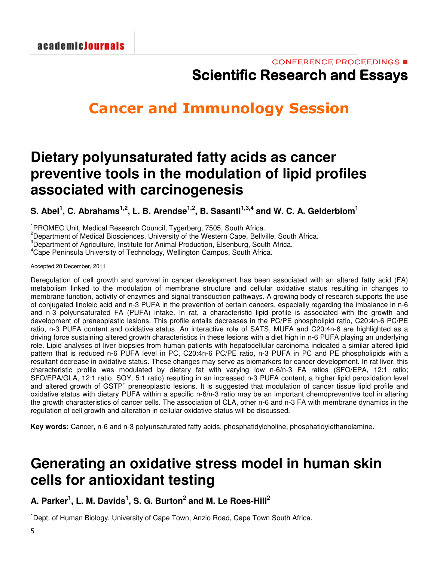# **Cancer and Immunology Session**

### **Dietary polyunsaturated fatty acids as cancer preventive tools in the modulation of lipid profiles associated with carcinogenesis**

S. Abel<sup>1</sup>, C. Abrahams<sup>1,2</sup>, L. B. Arendse<sup>1,2</sup>, B. Sasanti<sup>1,3,4</sup> and W. C. A. Gelderblom<sup>1</sup>

<sup>1</sup> PROMEC Unit, Medical Research Council, Tygerberg, 7505, South Africa.

<sup>2</sup>Department of Medical Biosciences, University of the Western Cape, Bellville, South Africa.

<sup>3</sup>Department of Agriculture, Institute for Animal Production, Elsenburg, South Africa.

<sup>4</sup>Cape Peninsula University of Technology, Wellington Campus, South Africa.

Accepted 20 December, 2011

Deregulation of cell growth and survival in cancer development has been associated with an altered fatty acid (FA) metabolism linked to the modulation of membrane structure and cellular oxidative status resulting in changes to membrane function, activity of enzymes and signal transduction pathways. A growing body of research supports the use of conjugated linoleic acid and n-3 PUFA in the prevention of certain cancers, especially regarding the imbalance in n-6 and n-3 polyunsaturated FA (PUFA) intake. In rat, a characteristic lipid profile is associated with the growth and development of preneoplastic lesions. This profile entails decreases in the PC/PE phospholipid ratio, C20:4n-6 PC/PE ratio, n-3 PUFA content and oxidative status. An interactive role of SATS, MUFA and C20:4n-6 are highlighted as a driving force sustaining altered growth characteristics in these lesions with a diet high in n-6 PUFA playing an underlying role. Lipid analyses of liver biopsies from human patients with hepatocellular carcinoma indicated a similar altered lipid pattern that is reduced n-6 PUFA level in PC, C20:4n-6 PC/PE ratio, n-3 PUFA in PC and PE phospholipids with a resultant decrease in oxidative status. These changes may serve as biomarkers for cancer development. In rat liver, this characteristic profile was modulated by dietary fat with varying low n-6/n-3 FA ratios (SFO/EPA, 12:1 ratio; SFO/EPA/GLA, 12:1 ratio; SOY, 5:1 ratio) resulting in an increased n-3 PUFA content, a higher lipid peroxidation level and altered growth of GSTP<sup>+</sup> preneoplastic lesions. It is suggested that modulation of cancer tissue lipid profile and oxidative status with dietary PUFA within a specific n-6/n-3 ratio may be an important chemopreventive tool in altering the growth characteristics of cancer cells. The association of CLA, other n-6 and n-3 FA with membrane dynamics in the regulation of cell growth and alteration in cellular oxidative status will be discussed.

**Key words:** Cancer, n-6 and n-3 polyunsaturated fatty acids, phosphatidylcholine, phosphatidylethanolamine.

# **Generating an oxidative stress model in human skin cells for antioxidant testing**

**A. Parker 1 , L. M. Davids 1 , S. G. Burton 2 and M. Le Roes-Hill 2**

<sup>1</sup>Dept. of Human Biology, University of Cape Town, Anzio Road, Cape Town South Africa.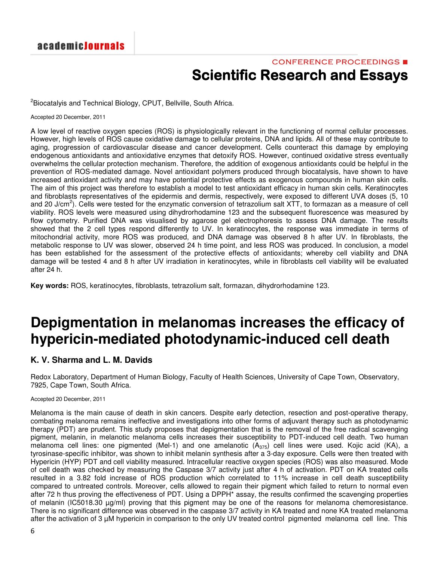### CONFERENCE PROCEEDINGS ■ **Scientific Research and Essays**

<sup>2</sup>Biocatalyis and Technical Biology, CPUT, Bellville, South Africa.

Accepted 20 December, 2011

A low level of reactive oxygen species (ROS) is physiologically relevant in the functioning of normal cellular processes. However, high levels of ROS cause oxidative damage to cellular proteins, DNA and lipids. All of these may contribute to aging, progression of cardiovascular disease and cancer development. Cells counteract this damage by employing endogenous antioxidants and antioxidative enzymes that detoxify ROS. However, continued oxidative stress eventually overwhelms the cellular protection mechanism. Therefore, the addition of exogenous antioxidants could be helpful in the prevention of ROS-mediated damage. Novel antioxidant polymers produced through biocatalysis, have shown to have increased antioxidant activity and may have potential protective effects as exogenous compounds in human skin cells. The aim of this project was therefore to establish a model to test antioxidant efficacy in human skin cells. Keratinocytes and fibroblasts representatives of the epidermis and dermis, respectively, were exposed to different UVA doses (5, 10 and 20 J/cm<sup>2</sup>). Cells were tested for the enzymatic conversion of tetrazolium salt XTT, to formazan as a measure of cell viability. ROS levels were measured using dihydrorhodamine 123 and the subsequent fluorescence was measured by flow cytometry. Purified DNA was visualised by agarose gel electrophoresis to assess DNA damage. The results showed that the 2 cell types respond differently to UV. In keratinocytes, the response was immediate in terms of mitochondrial activity, more ROS was produced, and DNA damage was observed 8 h after UV. In fibroblasts, the metabolic response to UV was slower, observed 24 h time point, and less ROS was produced. In conclusion, a model has been established for the assessment of the protective effects of antioxidants; whereby cell viability and DNA damage will be tested 4 and 8 h after UV irradiation in keratinocytes, while in fibroblasts cell viability will be evaluated after 24 h.

**Key words:** ROS, keratinocytes, fibroblasts, tetrazolium salt, formazan, dihydrorhodamine 123.

# **Depigmentation in melanomas increases the efficacy of hypericin-mediated photodynamic-induced cell death**

### **K. V. Sharma and L. M. Davids**

Redox Laboratory, Department of Human Biology, Faculty of Health Sciences, University of Cape Town, Observatory, 7925, Cape Town, South Africa.

#### Accepted 20 December, 2011

Melanoma is the main cause of death in skin cancers. Despite early detection, resection and post-operative therapy, combating melanoma remains ineffective and investigations into other forms of adjuvant therapy such as photodynamic therapy (PDT) are prudent. This study proposes that depigmentation that is the removal of the free radical scavenging pigment, melanin, in melanotic melanoma cells increases their susceptibility to PDT-induced cell death. Two human melanoma cell lines: one pigmented (Mel-1) and one amelanotic  $(A_{375})$  cell lines were used. Kojic acid (KA), a tyrosinase-specific inhibitor, was shown to inhibit melanin synthesis after a 3-day exposure. Cells were then treated with Hypericin (HYP) PDT and cell viability measured. Intracellular reactive oxygen species (ROS) was also measured. Mode of cell death was checked by measuring the Caspase 3/7 activity just after 4 h of activation. PDT on KA treated cells resulted in a 3.82 fold increase of ROS production which correlated to 11% increase in cell death susceptibility compared to untreated controls. Moreover, cells allowed to regain their pigment which failed to return to normal even after 72 h thus proving the effectiveness of PDT. Using a DPPH\* assay, the results confirmed the scavenging properties of melanin (IC5018.30 µg/ml) proving that this pigment may be one of the reasons for melanoma chemoresistance. There is no significant difference was observed in the caspase 3/7 activity in KA treated and none KA treated melanoma after the activation of 3  $\mu$ M hypericin in comparison to the only UV treated control pigmented melanoma cell line. This